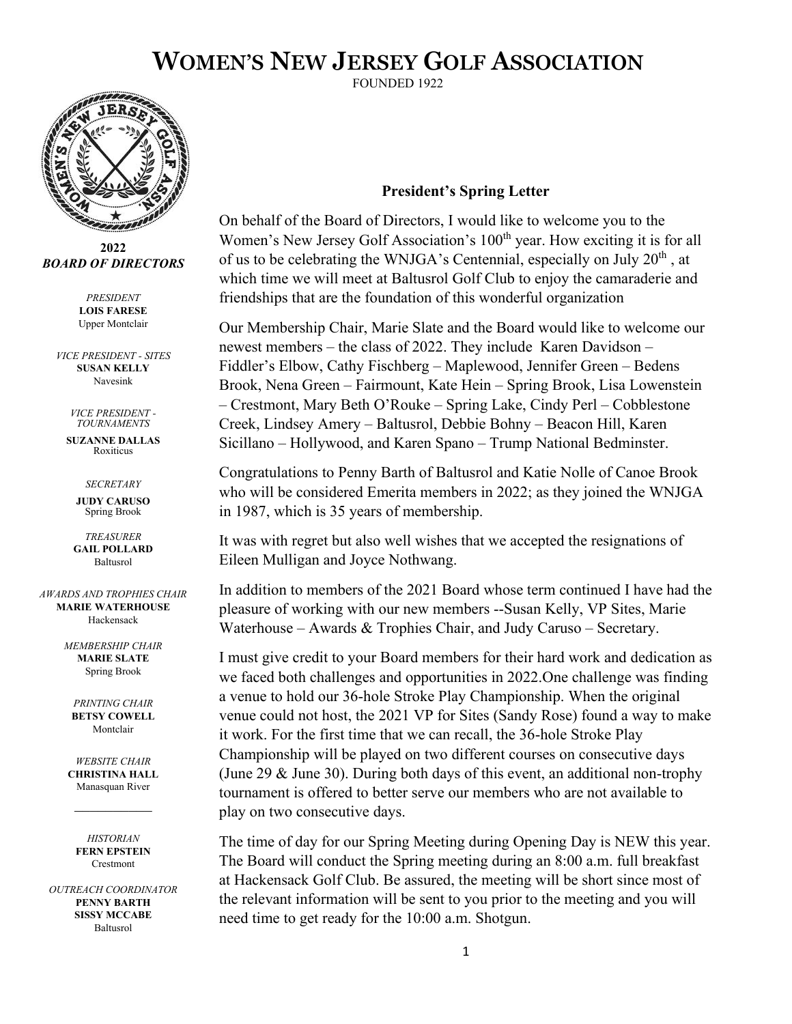## **WOMEN'S NEW JERSEY GOLF ASSOCIATION**

FOUNDED 1922



**2022** *BOARD OF DIRECTORS*

*PRESIDENT* **LOIS FARESE** Upper Montclair

*VICE PRESIDENT - SITES* **SUSAN KELLY** Navesink

> *VICE PRESIDENT - TOURNAMENTS*

**SUZANNE DALLAS** Roxiticus

*SECRETARY*

**JUDY CARUSO** Spring Brook

*TREASURER* **GAIL POLLARD** Baltusrol

*AWARDS AND TROPHIES CHAIR* **MARIE WATERHOUSE** Hackensack

> *MEMBERSHIP CHAIR* **MARIE SLATE** Spring Brook

*PRINTING CHAIR*  **BETSY COWELL** Montclair

*WEBSITE CHAIR* **CHRISTINA HALL** Manasquan River

*HISTORIAN* **FERN EPSTEIN Crestmont** 

*OUTREACH COORDINATOR* **PENNY BARTH SISSY MCCABE**  Baltusrol

## **President's Spring Letter**

On behalf of the Board of Directors, I would like to welcome you to the Women's New Jersey Golf Association's 100<sup>th</sup> year. How exciting it is for all of us to be celebrating the WNJGA's Centennial, especially on July  $20<sup>th</sup>$ , at which time we will meet at Baltusrol Golf Club to enjoy the camaraderie and friendships that are the foundation of this wonderful organization

Our Membership Chair, Marie Slate and the Board would like to welcome our newest members – the class of 2022. They include Karen Davidson – Fiddler's Elbow, Cathy Fischberg – Maplewood, Jennifer Green – Bedens Brook, Nena Green – Fairmount, Kate Hein – Spring Brook, Lisa Lowenstein – Crestmont, Mary Beth O'Rouke – Spring Lake, Cindy Perl – Cobblestone Creek, Lindsey Amery – Baltusrol, Debbie Bohny – Beacon Hill, Karen Sicillano – Hollywood, and Karen Spano – Trump National Bedminster.

Congratulations to Penny Barth of Baltusrol and Katie Nolle of Canoe Brook who will be considered Emerita members in 2022; as they joined the WNJGA in 1987, which is 35 years of membership.

It was with regret but also well wishes that we accepted the resignations of Eileen Mulligan and Joyce Nothwang.

In addition to members of the 2021 Board whose term continued I have had the pleasure of working with our new members --Susan Kelly, VP Sites, Marie Waterhouse – Awards & Trophies Chair, and Judy Caruso – Secretary.

I must give credit to your Board members for their hard work and dedication as we faced both challenges and opportunities in 2022.One challenge was finding a venue to hold our 36-hole Stroke Play Championship. When the original venue could not host, the 2021 VP for Sites (Sandy Rose) found a way to make it work. For the first time that we can recall, the 36-hole Stroke Play Championship will be played on two different courses on consecutive days (June 29 & June 30). During both days of this event, an additional non-trophy tournament is offered to better serve our members who are not available to play on two consecutive days.

The time of day for our Spring Meeting during Opening Day is NEW this year. The Board will conduct the Spring meeting during an 8:00 a.m. full breakfast at Hackensack Golf Club. Be assured, the meeting will be short since most of the relevant information will be sent to you prior to the meeting and you will need time to get ready for the 10:00 a.m. Shotgun.